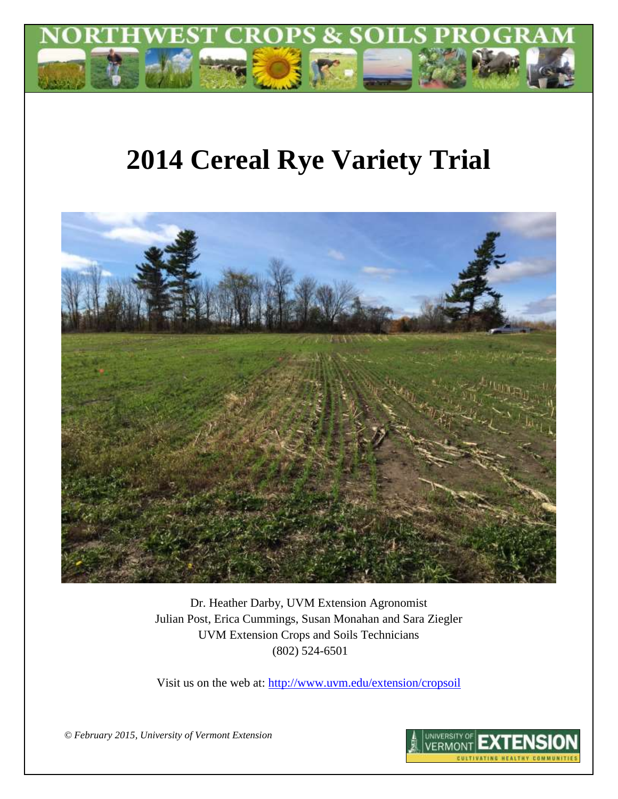

# **2014 Cereal Rye Variety Trial**



Dr. Heather Darby, UVM Extension Agronomist Julian Post, Erica Cummings, Susan Monahan and Sara Ziegler UVM Extension Crops and Soils Technicians (802) 524-6501

Visit us on the web at:<http://www.uvm.edu/extension/cropsoil>

UNIVERSITY OF **FRMONT CULTIVATING HEALTHY COMMUN** 

*© February 2015, University of Vermont Extension*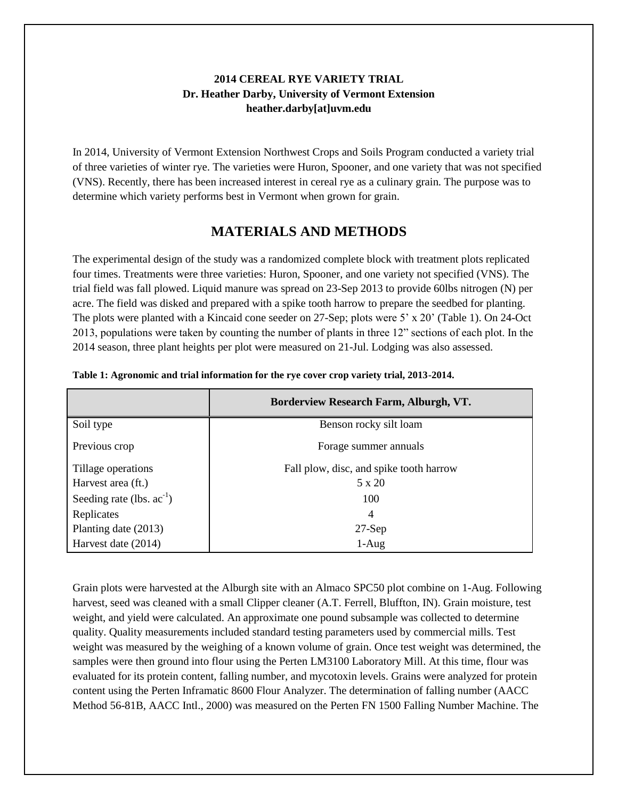## **2014 CEREAL RYE VARIETY TRIAL Dr. Heather Darby, University of Vermont Extension heather.darby[at]uvm.edu**

In 2014, University of Vermont Extension Northwest Crops and Soils Program conducted a variety trial of three varieties of winter rye. The varieties were Huron, Spooner, and one variety that was not specified (VNS). Recently, there has been increased interest in cereal rye as a culinary grain. The purpose was to determine which variety performs best in Vermont when grown for grain.

# **MATERIALS AND METHODS**

The experimental design of the study was a randomized complete block with treatment plots replicated four times. Treatments were three varieties: Huron, Spooner, and one variety not specified (VNS). The trial field was fall plowed. Liquid manure was spread on 23-Sep 2013 to provide 60lbs nitrogen (N) per acre. The field was disked and prepared with a spike tooth harrow to prepare the seedbed for planting. The plots were planted with a Kincaid cone seeder on 27-Sep; plots were 5' x 20' (Table 1). On 24-Oct 2013, populations were taken by counting the number of plants in three 12" sections of each plot. In the 2014 season, three plant heights per plot were measured on 21-Jul. Lodging was also assessed.

|                                | Borderview Research Farm, Alburgh, VT.  |
|--------------------------------|-----------------------------------------|
| Soil type                      | Benson rocky silt loam                  |
| Previous crop                  | Forage summer annuals                   |
| Tillage operations             | Fall plow, disc, and spike tooth harrow |
| Harvest area (ft.)             | 5 x 20                                  |
| Seeding rate (lbs. $ac^{-1}$ ) | 100                                     |
| Replicates                     | $\overline{4}$                          |
| Planting date (2013)           | $27-Sep$                                |
| Harvest date (2014)            | $1-Aug$                                 |

**Table 1: Agronomic and trial information for the rye cover crop variety trial, 2013-2014.**

Grain plots were harvested at the Alburgh site with an Almaco SPC50 plot combine on 1-Aug. Following harvest, seed was cleaned with a small Clipper cleaner (A.T. Ferrell, Bluffton, IN). Grain moisture, test weight, and yield were calculated. An approximate one pound subsample was collected to determine quality. Quality measurements included standard testing parameters used by commercial mills. Test weight was measured by the weighing of a known volume of grain. Once test weight was determined, the samples were then ground into flour using the Perten LM3100 Laboratory Mill. At this time, flour was evaluated for its protein content, falling number, and mycotoxin levels. Grains were analyzed for protein content using the Perten Inframatic 8600 Flour Analyzer. The determination of falling number (AACC Method 56-81B, AACC Intl., 2000) was measured on the Perten FN 1500 Falling Number Machine. The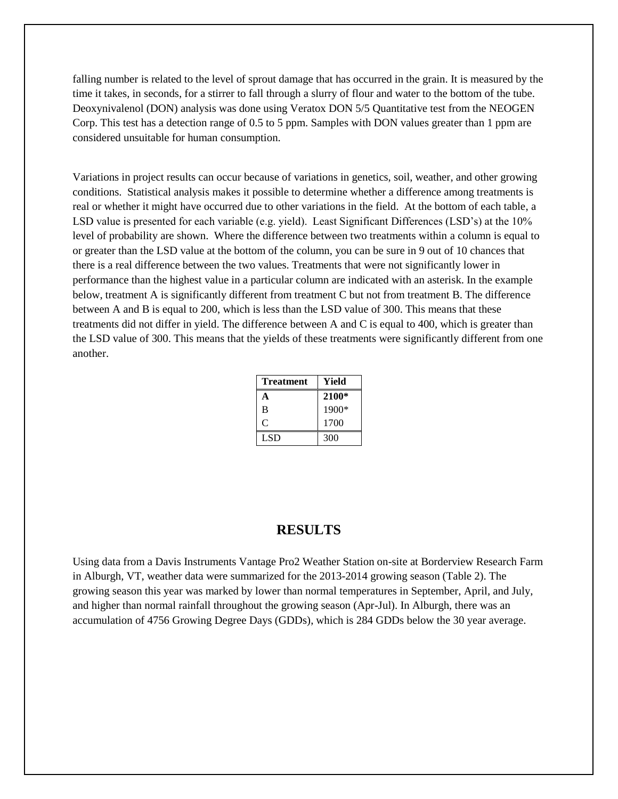falling number is related to the level of sprout damage that has occurred in the grain. It is measured by the time it takes, in seconds, for a stirrer to fall through a slurry of flour and water to the bottom of the tube. Deoxynivalenol (DON) analysis was done using Veratox DON 5/5 Quantitative test from the NEOGEN Corp. This test has a detection range of 0.5 to 5 ppm. Samples with DON values greater than 1 ppm are considered unsuitable for human consumption.

Variations in project results can occur because of variations in genetics, soil, weather, and other growing conditions. Statistical analysis makes it possible to determine whether a difference among treatments is real or whether it might have occurred due to other variations in the field. At the bottom of each table, a LSD value is presented for each variable (e.g. yield). Least Significant Differences (LSD's) at the 10% level of probability are shown. Where the difference between two treatments within a column is equal to or greater than the LSD value at the bottom of the column, you can be sure in 9 out of 10 chances that there is a real difference between the two values. Treatments that were not significantly lower in performance than the highest value in a particular column are indicated with an asterisk. In the example below, treatment A is significantly different from treatment C but not from treatment B. The difference between A and B is equal to 200, which is less than the LSD value of 300. This means that these treatments did not differ in yield. The difference between A and C is equal to 400, which is greater than the LSD value of 300. This means that the yields of these treatments were significantly different from one another.

| <b>Treatment</b> | Yield |
|------------------|-------|
| А                | 2100* |
| B                | 1900* |
| C                | 1700  |
| LSD.             | 300   |

### **RESULTS**

Using data from a Davis Instruments Vantage Pro2 Weather Station on-site at Borderview Research Farm in Alburgh, VT, weather data were summarized for the 2013-2014 growing season (Table 2). The growing season this year was marked by lower than normal temperatures in September, April, and July, and higher than normal rainfall throughout the growing season (Apr-Jul). In Alburgh, there was an accumulation of 4756 Growing Degree Days (GDDs), which is 284 GDDs below the 30 year average.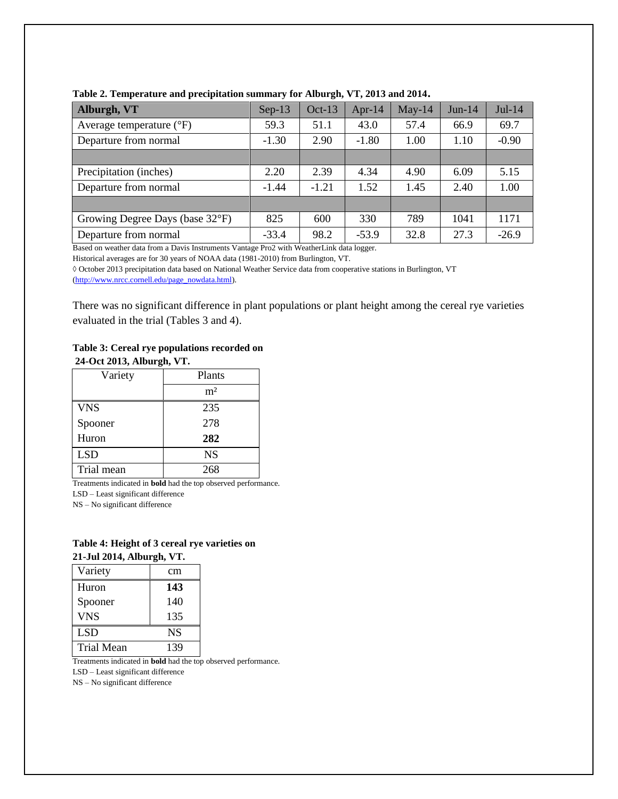| Alburgh, VT                         | $Sep-13$ | $Oct-13$ | Apr-14  | $May-14$ | $Jun-14$ | $Jul-14$ |
|-------------------------------------|----------|----------|---------|----------|----------|----------|
| Average temperature $({}^{\circ}F)$ | 59.3     | 51.1     | 43.0    | 57.4     | 66.9     | 69.7     |
| Departure from normal               | $-1.30$  | 2.90     | $-1.80$ | 1.00     | 1.10     | $-0.90$  |
|                                     |          |          |         |          |          |          |
| Precipitation (inches)              | 2.20     | 2.39     | 4.34    | 4.90     | 6.09     | 5.15     |
| Departure from normal               | $-1.44$  | $-1.21$  | 1.52    | 1.45     | 2.40     | 1.00     |
|                                     |          |          |         |          |          |          |
| Growing Degree Days (base 32°F)     | 825      | 600      | 330     | 789      | 1041     | 1171     |
| Departure from normal               | $-33.4$  | 98.2     | $-53.9$ | 32.8     | 27.3     | $-26.9$  |

**Table 2. Temperature and precipitation summary for Alburgh, VT, 2013 and 2014.**

Based on weather data from a Davis Instruments Vantage Pro2 with WeatherLink data logger.

Historical averages are for 30 years of NOAA data (1981-2010) from Burlington, VT.

◊ October 2013 precipitation data based on National Weather Service data from cooperative stations in Burlington, VT

[\(http://www.nrcc.cornell.edu/page\\_nowdata.html\)](http://www.nrcc.cornell.edu/page_nowdata.html).

There was no significant difference in plant populations or plant height among the cereal rye varieties evaluated in the trial (Tables 3 and 4).

#### **Table 3: Cereal rye populations recorded on 24-Oct 2013, Alburgh, VT.**

| Variety    | Plants         |
|------------|----------------|
|            | m <sup>2</sup> |
| <b>VNS</b> | 235            |
| Spooner    | 278            |
| Huron      | 282            |
| <b>LSD</b> | <b>NS</b>      |
| Trial mean | 268            |

Treatments indicated in **bold** had the top observed performance.

LSD – Least significant difference

NS – No significant difference

#### **Table 4: Height of 3 cereal rye varieties on 21-Jul 2014, Alburgh, VT.**

| Variety           | cm        |
|-------------------|-----------|
| Huron             | 143       |
| Spooner           | 140       |
| <b>VNS</b>        | 135       |
| <b>LSD</b>        | <b>NS</b> |
| <b>Trial Mean</b> | 139       |

Treatments indicated in **bold** had the top observed performance.

LSD – Least significant difference

NS – No significant difference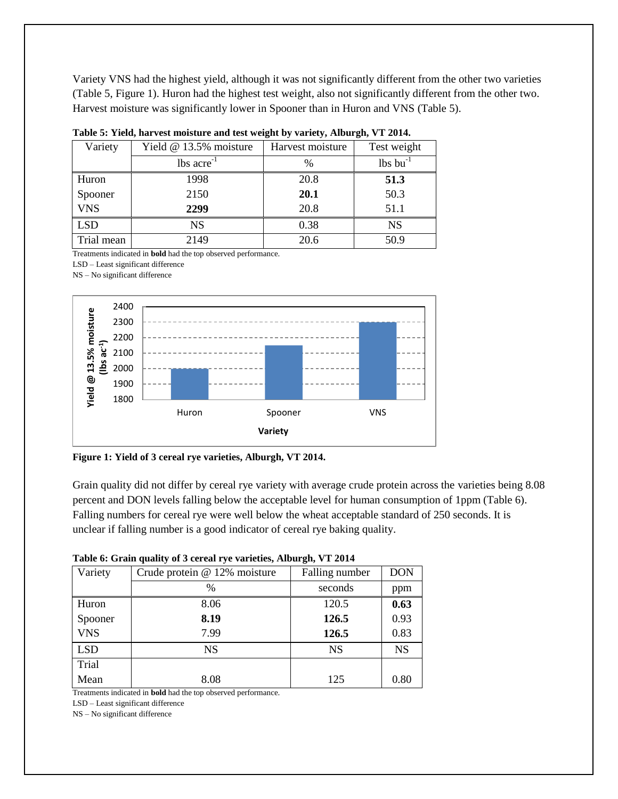Variety VNS had the highest yield, although it was not significantly different from the other two varieties (Table 5, Figure 1). Huron had the highest test weight, also not significantly different from the other two. Harvest moisture was significantly lower in Spooner than in Huron and VNS (Table 5).

| Variety    | Yield @ 13.5% moisture   | Harvest moisture | Test weight            |  |
|------------|--------------------------|------------------|------------------------|--|
|            | $lbs$ acre <sup>-1</sup> | %                | $lbs$ bu <sup>-1</sup> |  |
| Huron      | 1998                     | 20.8             | 51.3                   |  |
| Spooner    | 2150                     | 20.1             | 50.3                   |  |
| <b>VNS</b> | 2299                     | 20.8             | 51.1                   |  |
| <b>LSD</b> | <b>NS</b>                | 0.38             | <b>NS</b>              |  |
| Trial mean | 2149                     | 20.6             | 50.9                   |  |

|  |  |  | Table 5: Yield, harvest moisture and test weight by variety, Alburgh, VT 2014. |  |
|--|--|--|--------------------------------------------------------------------------------|--|
|  |  |  |                                                                                |  |

Treatments indicated in **bold** had the top observed performance.

LSD – Least significant difference

NS – No significant difference



**Figure 1: Yield of 3 cereal rye varieties, Alburgh, VT 2014.**

Grain quality did not differ by cereal rye variety with average crude protein across the varieties being 8.08 percent and DON levels falling below the acceptable level for human consumption of 1ppm (Table 6). Falling numbers for cereal rye were well below the wheat acceptable standard of 250 seconds. It is unclear if falling number is a good indicator of cereal rye baking quality.

| Table 0. Grain quality of 3 cereal rye varieties, Alburgii, y 1 2014 |                              |                |            |  |  |  |  |
|----------------------------------------------------------------------|------------------------------|----------------|------------|--|--|--|--|
| Variety                                                              | Crude protein @ 12% moisture | Falling number | <b>DON</b> |  |  |  |  |
|                                                                      | $\%$                         | seconds        | ppm        |  |  |  |  |
| Huron                                                                | 8.06                         | 120.5          | 0.63       |  |  |  |  |
| Spooner                                                              | 8.19                         | 126.5          | 0.93       |  |  |  |  |
| <b>VNS</b>                                                           | 7.99                         | 126.5          | 0.83       |  |  |  |  |
| <b>LSD</b>                                                           | <b>NS</b>                    | <b>NS</b>      | <b>NS</b>  |  |  |  |  |
| Trial                                                                |                              |                |            |  |  |  |  |
| Mean                                                                 | 8.08                         | 125            | 0.80       |  |  |  |  |

#### **Table 6: Grain quality of 3 cereal rye varieties, Alburgh, VT 2014**

Treatments indicated in **bold** had the top observed performance.

LSD – Least significant difference

NS – No significant difference